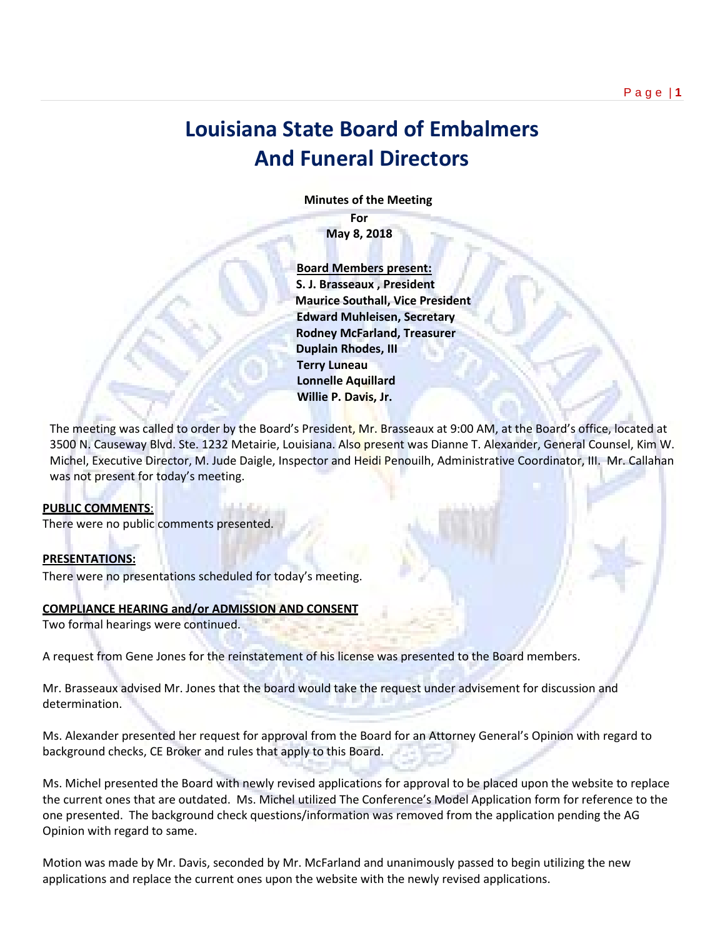# **Louisiana State Board of Embalmers And Funeral Directors**

 **Minutes of the Meeting**

**For May 8, 2018**

 **Board Members present: S. J. Brasseaux , President Maurice Southall, Vice President Edward Muhleisen, Secretary Rodney McFarland, Treasurer Duplain Rhodes, III Terry Luneau Lonnelle Aquillard Willie P. Davis, Jr.** 

The meeting was called to order by the Board's President, Mr. Brasseaux at 9:00 AM, at the Board's office, located at 3500 N. Causeway Blvd. Ste. 1232 Metairie, Louisiana. Also present was Dianne T. Alexander, General Counsel, Kim W. Michel, Executive Director, M. Jude Daigle, Inspector and Heidi Penouilh, Administrative Coordinator, III. Mr. Callahan was not present for today's meeting.

#### **PUBLIC COMMENTS**:

There were no public comments presented.

#### **PRESENTATIONS:**

There were no presentations scheduled for today's meeting.

#### **COMPLIANCE HEARING and/or ADMISSION AND CONSENT**

Two formal hearings were continued.

A request from Gene Jones for the reinstatement of his license was presented to the Board members.

Mr. Brasseaux advised Mr. Jones that the board would take the request under advisement for discussion and determination.

Ms. Alexander presented her request for approval from the Board for an Attorney General's Opinion with regard to background checks, CE Broker and rules that apply to this Board.

Ms. Michel presented the Board with newly revised applications for approval to be placed upon the website to replace the current ones that are outdated. Ms. Michel utilized The Conference's Model Application form for reference to the one presented. The background check questions/information was removed from the application pending the AG Opinion with regard to same.

Motion was made by Mr. Davis, seconded by Mr. McFarland and unanimously passed to begin utilizing the new applications and replace the current ones upon the website with the newly revised applications.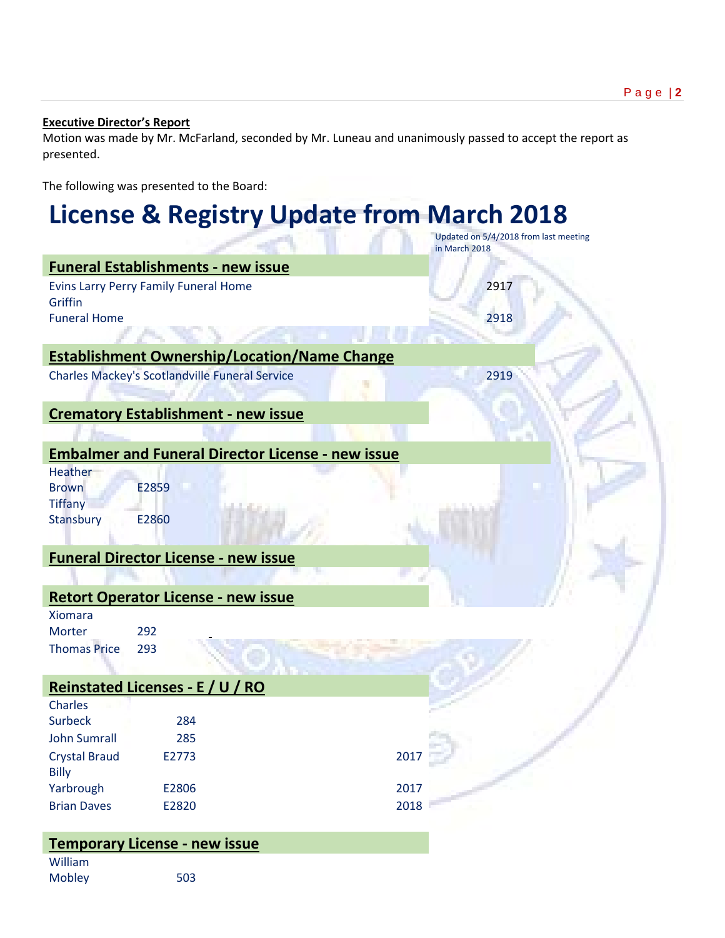# **Executive Director's Report**

Motion was made by Mr. McFarland, seconded by Mr. Luneau and unanimously passed to accept the report as presented.

The following was presented to the Board:

# **License & Registry Update from March 2018**

|                                  |                                                       |                                                          | in March 2018 | Updated on 5/4/2018 from last meeting |
|----------------------------------|-------------------------------------------------------|----------------------------------------------------------|---------------|---------------------------------------|
|                                  | <b>Funeral Establishments - new issue</b>             |                                                          |               |                                       |
|                                  | Evins Larry Perry Family Funeral Home                 |                                                          | 2917          |                                       |
| Griffin                          |                                                       |                                                          |               |                                       |
| <b>Funeral Home</b>              |                                                       |                                                          | 2918          |                                       |
|                                  |                                                       |                                                          |               |                                       |
|                                  |                                                       | <b>Establishment Ownership/Location/Name Change</b>      |               |                                       |
|                                  | <b>Charles Mackey's Scotlandville Funeral Service</b> |                                                          | 2919          |                                       |
|                                  | <b>Crematory Establishment - new issue</b>            |                                                          |               |                                       |
|                                  |                                                       |                                                          |               |                                       |
|                                  |                                                       |                                                          |               |                                       |
|                                  |                                                       | <b>Embalmer and Funeral Director License - new issue</b> |               |                                       |
| Heather<br><b>Brown</b>          | E2859                                                 |                                                          |               |                                       |
| <b>Tiffany</b>                   |                                                       |                                                          |               |                                       |
| Stansbury                        | E2860                                                 |                                                          |               |                                       |
|                                  |                                                       |                                                          |               |                                       |
|                                  | <b>Funeral Director License - new issue</b>           |                                                          |               |                                       |
|                                  |                                                       |                                                          |               |                                       |
|                                  | <b>Retort Operator License - new issue</b>            |                                                          |               |                                       |
| <b>Xiomara</b>                   |                                                       |                                                          |               |                                       |
| Morter                           | 292                                                   |                                                          |               |                                       |
| <b>Thomas Price</b>              | 293                                                   |                                                          |               |                                       |
|                                  |                                                       |                                                          |               |                                       |
|                                  | Reinstated Licenses - E / U / RO                      |                                                          |               |                                       |
| <b>Charles</b><br><b>Surbeck</b> | 284                                                   |                                                          |               |                                       |
| <b>John Sumrall</b>              | 285                                                   |                                                          |               |                                       |
| <b>Crystal Braud</b>             | E2773                                                 |                                                          | 2017          |                                       |
| <b>Billy</b>                     |                                                       |                                                          |               |                                       |
| Yarbrough                        | E2806                                                 |                                                          | 2017          |                                       |
| <b>Brian Daves</b>               | E2820                                                 |                                                          | 2018          |                                       |
|                                  |                                                       |                                                          |               |                                       |
|                                  | <b>Temporary License - new issue</b>                  |                                                          |               |                                       |
| William                          |                                                       |                                                          |               |                                       |

Mobley 503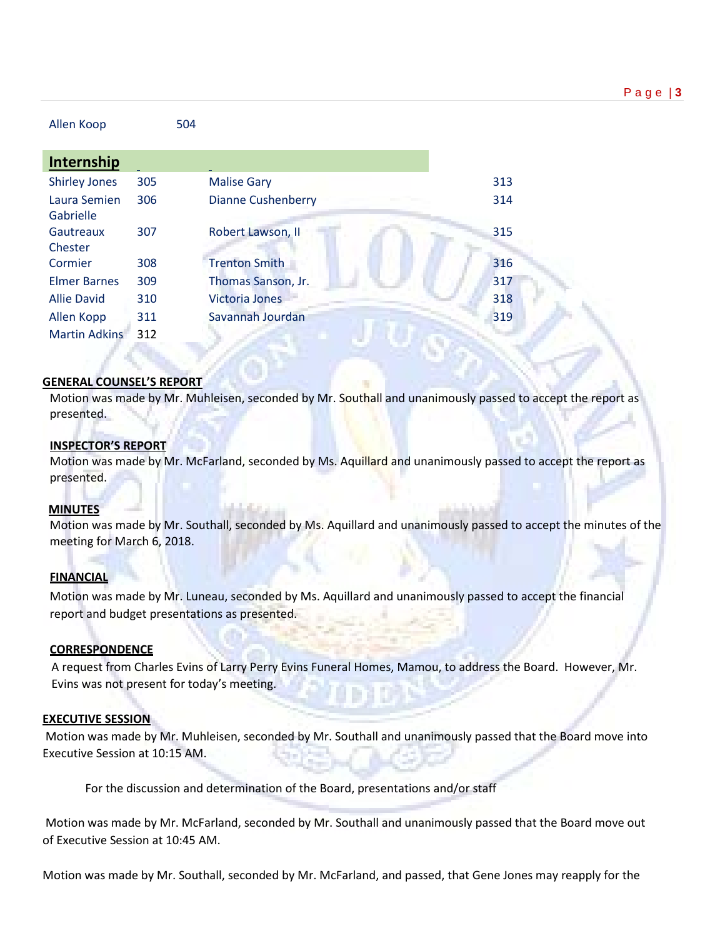| Allen Koop                |     | 504                       |     |
|---------------------------|-----|---------------------------|-----|
| Internship                |     |                           |     |
| <b>Shirley Jones</b>      | 305 | <b>Malise Gary</b>        | 313 |
| Laura Semien<br>Gabrielle | 306 | <b>Dianne Cushenberry</b> | 314 |
| Gautreaux<br>Chester      | 307 | Robert Lawson, II         | 315 |
| Cormier                   | 308 | <b>Trenton Smith</b>      | 316 |
| <b>Elmer Barnes</b>       | 309 | Thomas Sanson, Jr.        | 317 |
| <b>Allie David</b>        | 310 | <b>Victoria Jones</b>     | 318 |
| Allen Kopp                | 311 | Savannah Jourdan          | 319 |
| <b>Martin Adkins</b>      | 312 |                           |     |
|                           |     |                           |     |

### **GENERAL COUNSEL'S REPORT**

Motion was made by Mr. Muhleisen, seconded by Mr. Southall and unanimously passed to accept the report as presented.

#### **INSPECTOR'S REPORT**

Motion was made by Mr. McFarland, seconded by Ms. Aquillard and unanimously passed to accept the report as presented.

# **MINUTES**

Motion was made by Mr. Southall, seconded by Ms. Aquillard and unanimously passed to accept the minutes of the meeting for March 6, 2018.

# **FINANCIAL**

Motion was made by Mr. Luneau, seconded by Ms. Aquillard and unanimously passed to accept the financial report and budget presentations as presented.

#### **CORRESPONDENCE**

 A request from Charles Evins of Larry Perry Evins Funeral Homes, Mamou, to address the Board. However, Mr. Evins was not present for today's meeting.

#### **EXECUTIVE SESSION**

Motion was made by Mr. Muhleisen, seconded by Mr. Southall and unanimously passed that the Board move into Executive Session at 10:15 AM.

For the discussion and determination of the Board, presentations and/or staff

Motion was made by Mr. McFarland, seconded by Mr. Southall and unanimously passed that the Board move out of Executive Session at 10:45 AM.

Motion was made by Mr. Southall, seconded by Mr. McFarland, and passed, that Gene Jones may reapply for the